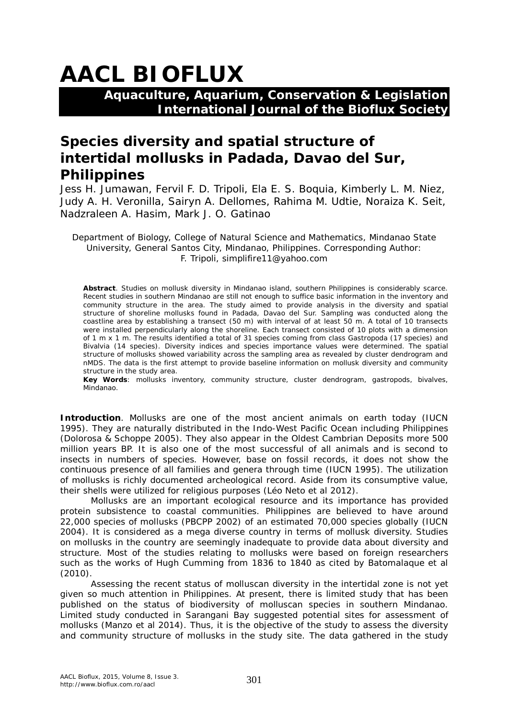# **AACL BIOFLUX**

**Aquaculture, Aquarium, Conservation & Legislation International Journal of the Bioflux Society**

## **Species diversity and spatial structure of intertidal mollusks in Padada, Davao del Sur, Philippines**

Jess H. Jumawan, Fervil F. D. Tripoli, Ela E. S. Boquia, Kimberly L. M. Niez, Judy A. H. Veronilla, Sairyn A. Dellomes, Rahima M. Udtie, Noraiza K. Seit, Nadzraleen A. Hasim, Mark J. O. Gatinao

Department of Biology, College of Natural Science and Mathematics, Mindanao State University, General Santos City, Mindanao, Philippines. Corresponding Author: F. Tripoli, simplifire11@yahoo.com

**Abstract**. Studies on mollusk diversity in Mindanao island, southern Philippines is considerably scarce. Recent studies in southern Mindanao are still not enough to suffice basic information in the inventory and community structure in the area. The study aimed to provide analysis in the diversity and spatial structure of shoreline mollusks found in Padada, Davao del Sur. Sampling was conducted along the coastline area by establishing a transect (50 m) with interval of at least 50 m. A total of 10 transects were installed perpendicularly along the shoreline. Each transect consisted of 10 plots with a dimension of 1 m x 1 m. The results identified a total of 31 species coming from class Gastropoda (17 species) and Bivalvia (14 species). Diversity indices and species importance values were determined. The spatial structure of mollusks showed variability across the sampling area as revealed by cluster dendrogram and nMDS. The data is the first attempt to provide baseline information on mollusk diversity and community structure in the study area.

**Key Words**: mollusks inventory, community structure, cluster dendrogram, gastropods, bivalves, Mindanao.

**Introduction**. Mollusks are one of the most ancient animals on earth today (IUCN 1995). They are naturally distributed in the Indo-West Pacific Ocean including Philippines (Dolorosa & Schoppe 2005). They also appear in the Oldest Cambrian Deposits more 500 million years BP. It is also one of the most successful of all animals and is second to insects in numbers of species. However, base on fossil records, it does not show the continuous presence of all families and genera through time (IUCN 1995). The utilization of mollusks is richly documented archeological record. Aside from its consumptive value, their shells were utilized for religious purposes (Léo Neto et al 2012).

Mollusks are an important ecological resource and its importance has provided protein subsistence to coastal communities. Philippines are believed to have around 22,000 species of mollusks (PBCPP 2002) of an estimated 70,000 species globally (IUCN 2004). It is considered as a mega diverse country in terms of mollusk diversity. Studies on mollusks in the country are seemingly inadequate to provide data about diversity and structure. Most of the studies relating to mollusks were based on foreign researchers such as the works of Hugh Cumming from 1836 to 1840 as cited by Batomalaque et al (2010).

Assessing the recent status of molluscan diversity in the intertidal zone is not yet given so much attention in Philippines. At present, there is limited study that has been published on the status of biodiversity of molluscan species in southern Mindanao. Limited study conducted in Sarangani Bay suggested potential sites for assessment of mollusks (Manzo et al 2014). Thus, it is the objective of the study to assess the diversity and community structure of mollusks in the study site. The data gathered in the study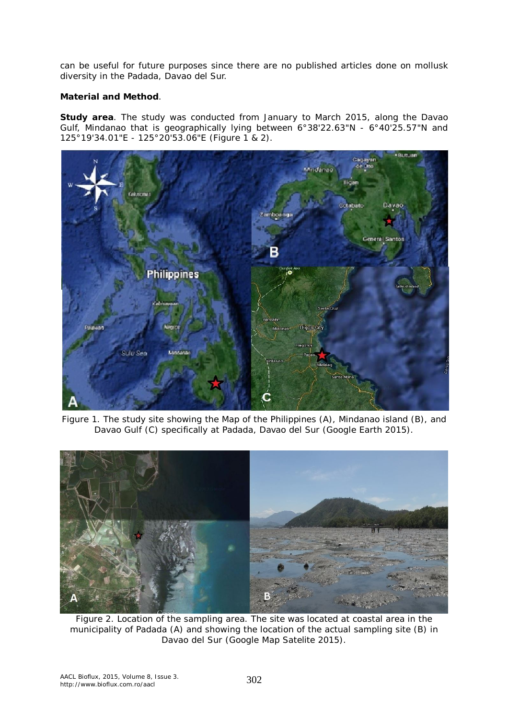can be useful for future purposes since there are no published articles done on mollusk diversity in the Padada, Davao del Sur.

### **Material and Method**.

**Study area**. The study was conducted from January to March 2015, along the Davao Gulf, Mindanao that is geographically lying between 6°38'22.63"N - 6°40'25.57"N and 125°19'34.01"E - 125°20'53.06"E (Figure 1 & 2).



Figure 1. The study site showing the Map of the Philippines (A), Mindanao island (B), and Davao Gulf (C) specifically at Padada, Davao del Sur (Google Earth 2015).



Figure 2. Location of the sampling area. The site was located at coastal area in the municipality of Padada (A) and showing the location of the actual sampling site (B) in Davao del Sur (Google Map Satelite 2015).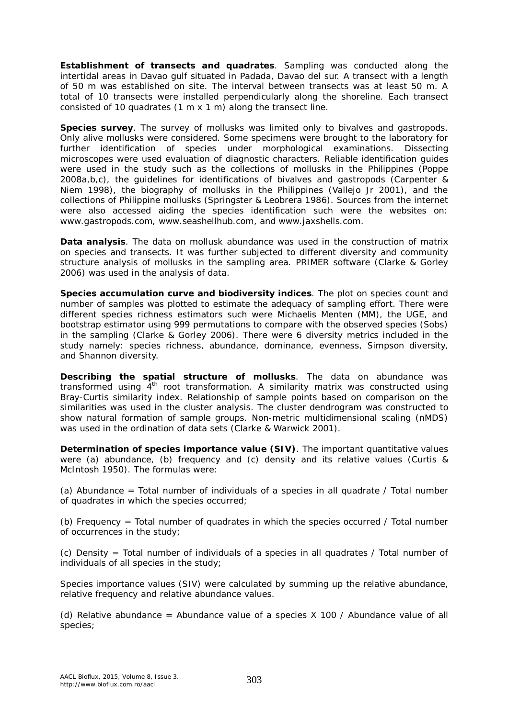*Establishment of transects and quadrates*. Sampling was conducted along the intertidal areas in Davao gulf situated in Padada, Davao del sur. A transect with a length of 50 m was established on site. The interval between transects was at least 50 m. A total of 10 transects were installed perpendicularly along the shoreline. Each transect consisted of 10 quadrates (1 m x 1 m) along the transect line.

**Species survey**. The survey of mollusks was limited only to bivalves and gastropods. Only alive mollusks were considered. Some specimens were brought to the laboratory for further identification of species under morphological examinations. Dissecting microscopes were used evaluation of diagnostic characters. Reliable identification guides were used in the study such as the collections of mollusks in the Philippines (Poppe 2008a,b,c), the guidelines for identifications of bivalves and gastropods (Carpenter & Niem 1998), the biography of mollusks in the Philippines (Vallejo Jr 2001), and the collections of Philippine mollusks (Springster & Leobrera 1986). Sources from the internet were also accessed aiding the species identification such were the websites on: www.gastropods.com, www.seashellhub.com, and www.jaxshells.com.

*Data analysis*. The data on mollusk abundance was used in the construction of matrix on species and transects. It was further subjected to different diversity and community structure analysis of mollusks in the sampling area. PRIMER software (Clarke & Gorley 2006) was used in the analysis of data.

*Species accumulation curve and biodiversity indices.* The plot on species count and number of samples was plotted to estimate the adequacy of sampling effort. There were different species richness estimators such were Michaelis Menten (MM), the UGE, and bootstrap estimator using 999 permutations to compare with the observed species (Sobs) in the sampling (Clarke & Gorley 2006). There were 6 diversity metrics included in the study namely: species richness, abundance, dominance, evenness, Simpson diversity, and Shannon diversity.

*Describing the spatial structure of mollusks.* The data on abundance was transformed using  $4<sup>th</sup>$  root transformation. A similarity matrix was constructed using Bray-Curtis similarity index. Relationship of sample points based on comparison on the similarities was used in the cluster analysis. The cluster dendrogram was constructed to show natural formation of sample groups. Non-metric multidimensional scaling (nMDS) was used in the ordination of data sets (Clarke & Warwick 2001).

*Determination of species importance value (SIV)*. The important quantitative values were (a) abundance, (b) frequency and (c) density and its relative values (Curtis & McIntosh 1950). The formulas were:

(a) Abundance = Total number of individuals of a species in all quadrate  $\ell$  Total number of quadrates in which the species occurred;

(b) Frequency = Total number of quadrates in which the species occurred / Total number of occurrences in the study;

(c) Density = Total number of individuals of a species in all quadrates / Total number of individuals of all species in the study;

Species importance values (SIV) were calculated by summing up the relative abundance, relative frequency and relative abundance values.

(d) Relative abundance = Abundance value of a species  $X$  100 / Abundance value of all species;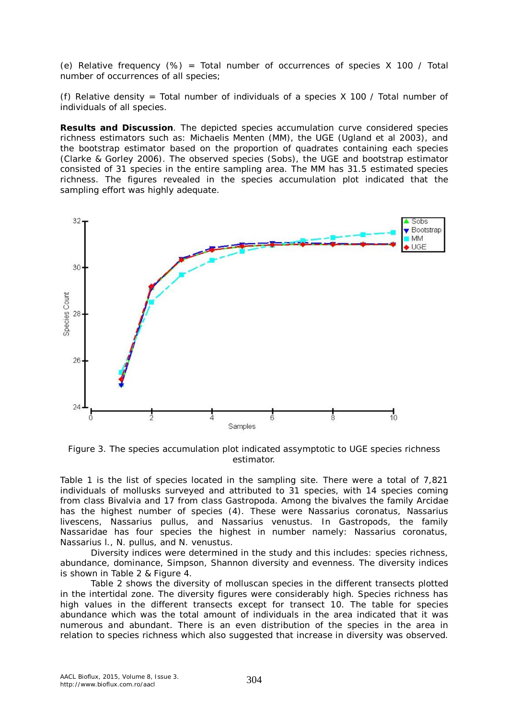(e) Relative frequency  $(\%)$  = Total number of occurrences of species X 100 / Total number of occurrences of all species;

(f) Relative density = Total number of individuals of a species  $X$  100 / Total number of individuals of all species.

**Results and Discussion***.* The depicted species accumulation curve considered species richness estimators such as: Michaelis Menten (MM), the UGE (Ugland et al 2003), and the bootstrap estimator based on the proportion of quadrates containing each species (Clarke & Gorley 2006). The observed species (Sobs), the UGE and bootstrap estimator consisted of 31 species in the entire sampling area. The MM has 31.5 estimated species richness. The figures revealed in the species accumulation plot indicated that the sampling effort was highly adequate.



Figure 3. The species accumulation plot indicated assymptotic to UGE species richness estimator.

Table 1 is the list of species located in the sampling site. There were a total of 7,821 individuals of mollusks surveyed and attributed to 31 species, with 14 species coming from class Bivalvia and 17 from class Gastropoda. Among the bivalves the family Arcidae has the highest number of species (4). These were *Nassarius coronatus, Nassarius livescens, Nassarius pullus,* and *Nassarius venustus*. In Gastropods, the family Nassaridae has four species the highest in number namely: *Nassarius coronatus, Nassarius l., N. pullus,* and *N. venustus*.

Diversity indices were determined in the study and this includes: species richness, abundance, dominance, Simpson, Shannon diversity and evenness. The diversity indices is shown in Table 2 & Figure 4.

Table 2 shows the diversity of molluscan species in the different transects plotted in the intertidal zone. The diversity figures were considerably high. Species richness has high values in the different transects except for transect 10. The table for species abundance which was the total amount of individuals in the area indicated that it was numerous and abundant. There is an even distribution of the species in the area in relation to species richness which also suggested that increase in diversity was observed.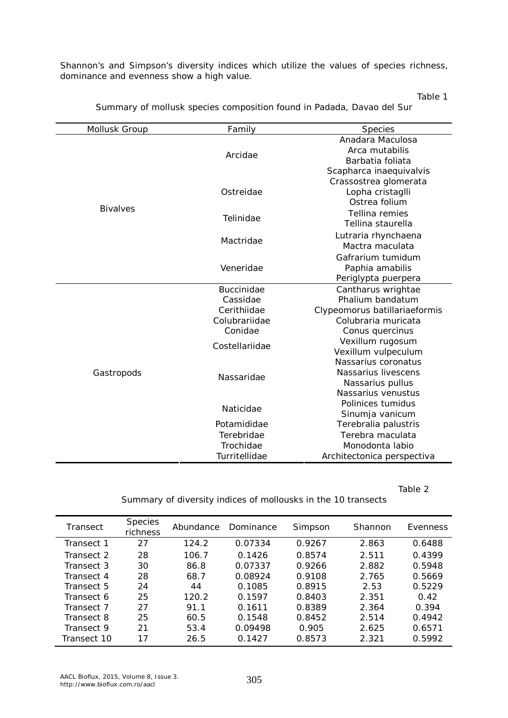Shannon's and Simpson's diversity indices which utilize the values of species richness, dominance and evenness show a high value.

Table 1

| <b>Mollusk Group</b> | Family                                       | <b>Species</b>             |  |
|----------------------|----------------------------------------------|----------------------------|--|
|                      |                                              | Anadara Maculosa           |  |
|                      | Arcidae                                      | Arca mutabilis             |  |
|                      |                                              | Barbatia foliata           |  |
|                      |                                              | Scapharca inaequivalvis    |  |
|                      |                                              | Crassostrea glomerata      |  |
|                      | Ostreidae                                    | Lopha cristaglli           |  |
|                      |                                              | Ostrea folium              |  |
| <b>Bivalves</b>      |                                              | Tellina remies             |  |
|                      | Telinidae                                    | Tellina staurella          |  |
|                      |                                              | Lutraria rhynchaena        |  |
|                      | Mactridae                                    | Mactra maculata            |  |
|                      |                                              | Gafrarium tumidum          |  |
|                      | Veneridae                                    | Paphia amabilis            |  |
|                      |                                              | Periglypta puerpera        |  |
|                      | <b>Buccinidae</b>                            | Cantharus wrightae         |  |
|                      | Cassidae                                     | Phalium bandatum           |  |
|                      | Cerithiidae<br>Clypeomorus batillariaeformis |                            |  |
|                      | Colubrariidae<br>Colubraria muricata         |                            |  |
|                      | Conidae                                      | Conus quercinus            |  |
|                      | Costellariidae                               | Vexillum rugosum           |  |
|                      |                                              | Vexillum vulpeculum        |  |
|                      |                                              | Nassarius coronatus        |  |
| Gastropods           | Nassaridae                                   | Nassarius livescens        |  |
|                      |                                              | Nassarius pullus           |  |
|                      |                                              | Nassarius venustus         |  |
|                      | Naticidae                                    | Polinices tumidus          |  |
|                      |                                              | Sinumja vanicum            |  |
|                      | Potamididae                                  | Terebralia palustris       |  |
|                      | Terebridae                                   | Terebra maculata           |  |
|                      | Trochidae                                    | Monodonta labio            |  |
|                      | Turritellidae                                | Architectonica perspectiva |  |

Summary of mollusk species composition found in Padada, Davao del Sur

Table 2

|  | Summary of diversity indices of mollousks in the 10 transects |  |
|--|---------------------------------------------------------------|--|
|--|---------------------------------------------------------------|--|

| Transect    | <i>Species</i><br><i>richness</i> | Abundance | Dominance | Simpson | Shannon | Evenness |
|-------------|-----------------------------------|-----------|-----------|---------|---------|----------|
| Transect 1  | 27                                | 124.2     | 0.07334   | 0.9267  | 2.863   | 0.6488   |
| Transect 2  | 28                                | 106.7     | 0.1426    | 0.8574  | 2.511   | 0.4399   |
| Transect 3  | 30                                | 86.8      | 0.07337   | 0.9266  | 2.882   | 0.5948   |
| Transect 4  | 28                                | 68.7      | 0.08924   | 0.9108  | 2.765   | 0.5669   |
| Transect 5  | 24                                | 44        | 0.1085    | 0.8915  | 2.53    | 0.5229   |
| Transect 6  | 25                                | 120.2     | 0.1597    | 0.8403  | 2.351   | 0.42     |
| Transect 7  | 27                                | 91.1      | 0.1611    | 0.8389  | 2.364   | 0.394    |
| Transect 8  | 25                                | 60.5      | 0.1548    | 0.8452  | 2.514   | 0.4942   |
| Transect 9  | 21                                | 53.4      | 0.09498   | 0.905   | 2.625   | 0.6571   |
| Transect 10 | 17                                | 26.5      | 0.1427    | 0.8573  | 2.321   | 0.5992   |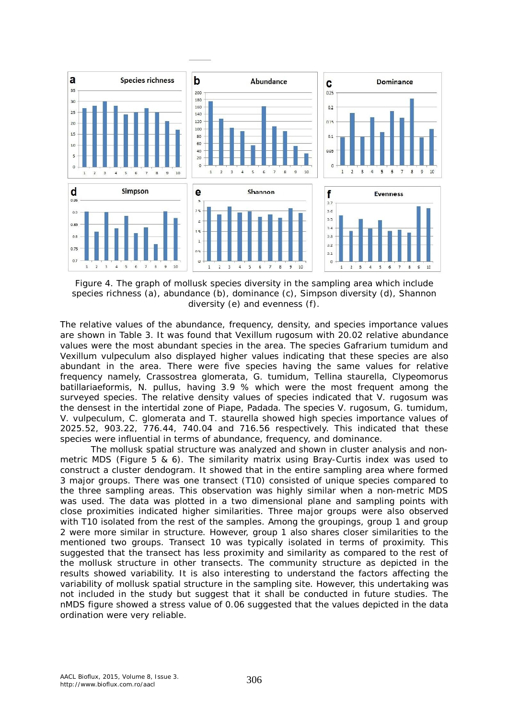

Figure 4. The graph of mollusk species diversity in the sampling area which include species richness (a), abundance (b), dominance (c), Simpson diversity (d), Shannon diversity (e) and evenness (f).

The relative values of the abundance, frequency, density, and species importance values are shown in Table 3. It was found that *Vexillum rugosum* with 20.02 relative abundance values were the most abundant species in the area. The species *Gafrarium tumidum* and *Vexillum vulpeculum* also displayed higher values indicating that these species are also abundant in the area. There were five species having the same values for relative frequency namely, *Crassostrea glomerata, G. tumidum, Tellina staurella, Clypeomorus batillariaeformis, N. pullus,* having 3.9 % which were the most frequent among the surveyed species. The relative density values of species indicated that *V. rugosum* was the densest in the intertidal zone of Piape, Padada. The species *V. rugosum, G. tumidum, V. vulpeculum, C. glomerata* and *T. staurella* showed high species importance values of 2025.52, 903.22, 776.44, 740.04 and 716.56 respectively. This indicated that these species were influential in terms of abundance, frequency, and dominance.

The mollusk spatial structure was analyzed and shown in cluster analysis and nonmetric MDS (Figure 5 & 6). The similarity matrix using Bray-Curtis index was used to construct a cluster dendogram. It showed that in the entire sampling area where formed 3 major groups. There was one transect (T10) consisted of unique species compared to the three sampling areas. This observation was highly similar when a non-metric MDS was used. The data was plotted in a two dimensional plane and sampling points with close proximities indicated higher similarities. Three major groups were also observed with T10 isolated from the rest of the samples. Among the groupings, group 1 and group 2 were more similar in structure. However, group 1 also shares closer similarities to the mentioned two groups. Transect 10 was typically isolated in terms of proximity. This suggested that the transect has less proximity and similarity as compared to the rest of the mollusk structure in other transects. The community structure as depicted in the results showed variability. It is also interesting to understand the factors affecting the variability of mollusk spatial structure in the sampling site. However, this undertaking was not included in the study but suggest that it shall be conducted in future studies. The nMDS figure showed a stress value of 0.06 suggested that the values depicted in the data ordination were very reliable.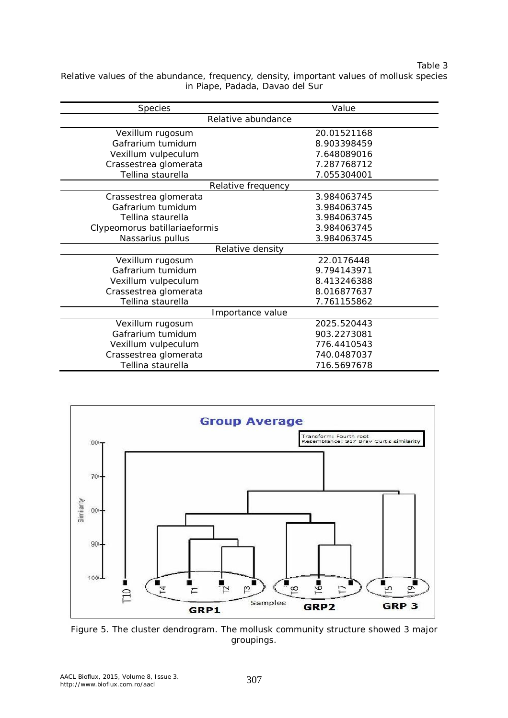#### Table 3

Relative values of the abundance, frequency, density, important values of mollusk species in Piape, Padada, Davao del Sur

| <b>Species</b>                | Value       |  |  |  |  |
|-------------------------------|-------------|--|--|--|--|
| Relative abundance            |             |  |  |  |  |
| Vexillum rugosum              | 20.01521168 |  |  |  |  |
| Gafrarium tumidum             | 8.903398459 |  |  |  |  |
| Vexillum vulpeculum           | 7.648089016 |  |  |  |  |
| Crassestrea glomerata         | 7.287768712 |  |  |  |  |
| Tellina staurella             | 7.055304001 |  |  |  |  |
| Relative frequency            |             |  |  |  |  |
| Crassestrea glomerata         | 3.984063745 |  |  |  |  |
| Gafrarium tumidum             | 3.984063745 |  |  |  |  |
| Tellina staurella             | 3.984063745 |  |  |  |  |
| Clypeomorus batillariaeformis | 3.984063745 |  |  |  |  |
| Nassarius pullus              | 3.984063745 |  |  |  |  |
| Relative density              |             |  |  |  |  |
| Vexillum rugosum              | 22.0176448  |  |  |  |  |
| Gafrarium tumidum             | 9.794143971 |  |  |  |  |
| Vexillum vulpeculum           | 8.413246388 |  |  |  |  |
| Crassestrea glomerata         | 8.016877637 |  |  |  |  |
| Tellina staurella             | 7.761155862 |  |  |  |  |
| Importance value              |             |  |  |  |  |
| Vexillum rugosum              | 2025.520443 |  |  |  |  |
| Gafrarium tumidum             | 903.2273081 |  |  |  |  |
| Vexillum vulpeculum           | 776.4410543 |  |  |  |  |
| Crassestrea glomerata         | 740.0487037 |  |  |  |  |
| Tellina staurella             | 716.5697678 |  |  |  |  |



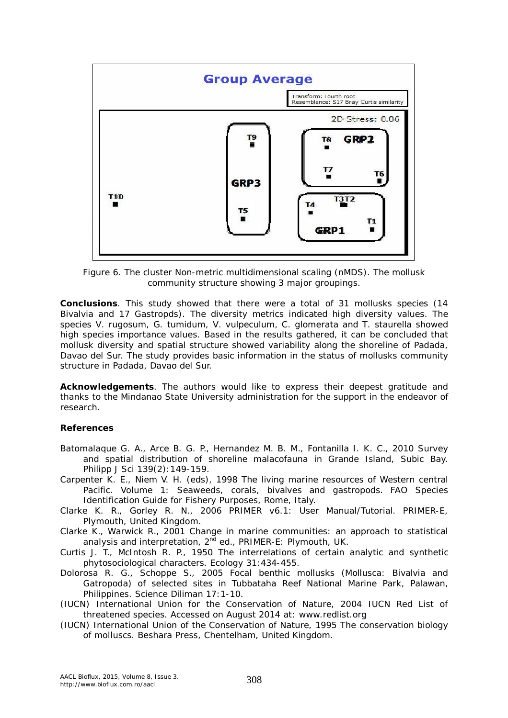

Figure 6. The cluster Non-metric multidimensional scaling (nMDS). The mollusk community structure showing 3 major groupings.

**Conclusions**. This study showed that there were a total of 31 mollusks species (14 Bivalvia and 17 Gastropds). The diversity metrics indicated high diversity values. The species *V. rugosum, G. tumidum, V. vulpeculum, C. glomerata* and *T. staurella* showed high species importance values. Based in the results gathered, it can be concluded that mollusk diversity and spatial structure showed variability along the shoreline of Padada, Davao del Sur. The study provides basic information in the status of mollusks community structure in Padada, Davao del Sur.

**Acknowledgements**. The authors would like to express their deepest gratitude and thanks to the Mindanao State University administration for the support in the endeavor of research.

#### **References**

- Batomalaque G. A., Arce B. G. P., Hernandez M. B. M., Fontanilla I. K. C., 2010 Survey and spatial distribution of shoreline malacofauna in Grande Island, Subic Bay. Philipp J Sci 139(2):149-159.
- Carpenter K. E., Niem V. H. (eds), 1998 The living marine resources of Western central Pacific. Volume 1: Seaweeds, corals, bivalves and gastropods. FAO Species Identification Guide for Fishery Purposes, Rome, Italy.
- Clarke K. R., Gorley R. N., 2006 PRIMER v6.1: User Manual/Tutorial. PRIMER-E, Plymouth, United Kingdom.

Clarke K., Warwick R., 2001 Change in marine communities: an approach to statistical analysis and interpretation, 2<sup>nd</sup> ed., PRIMER-E: Plymouth, UK.

Curtis J. T., McIntosh R. P., 1950 The interrelations of certain analytic and synthetic phytosociological characters. Ecology 31:434-455.

- Dolorosa R. G., Schoppe S., 2005 Focal benthic mollusks (Mollusca: Bivalvia and Gatropoda) of selected sites in Tubbataha Reef National Marine Park, Palawan, Philippines. Science Diliman 17:1-10.
- (IUCN) International Union for the Conservation of Nature, 2004 IUCN Red List of threatened species. Accessed on August 2014 at: www.redlist.org
- (IUCN) International Union of the Conservation of Nature, 1995 The conservation biology of molluscs. Beshara Press, Chentelham, United Kingdom.